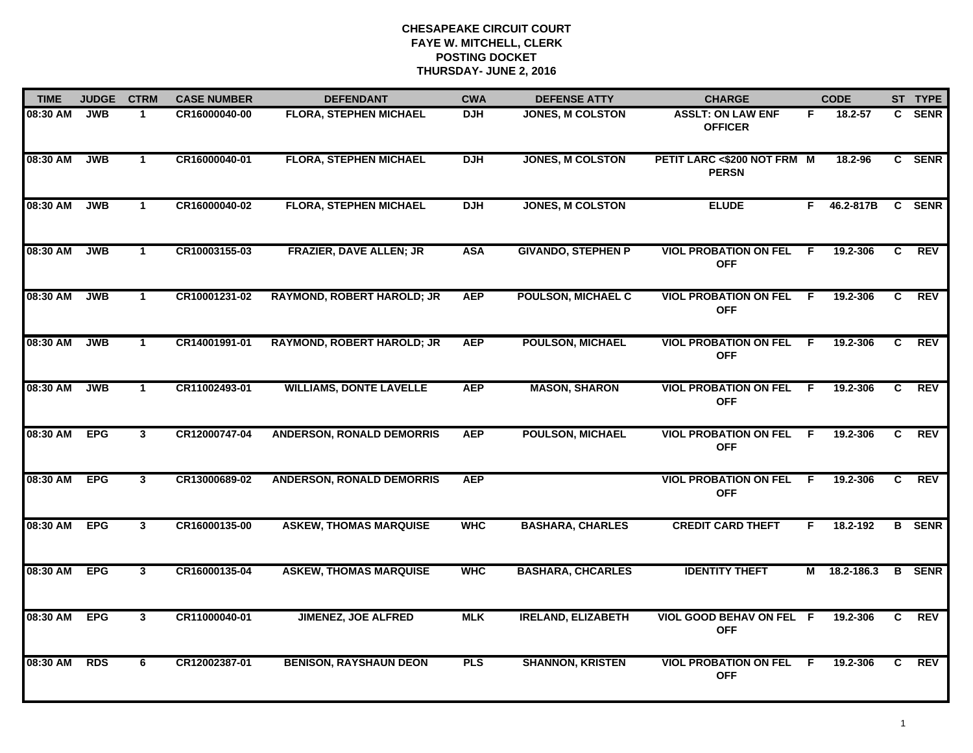| <b>TIME</b>  | <b>JUDGE</b> | <b>CTRM</b>    | <b>CASE NUMBER</b> | <b>DEFENDANT</b>                  | <b>CWA</b> | <b>DEFENSE ATTY</b>       | <b>CHARGE</b>                                 |                | <b>CODE</b>  |                | ST TYPE       |
|--------------|--------------|----------------|--------------------|-----------------------------------|------------|---------------------------|-----------------------------------------------|----------------|--------------|----------------|---------------|
| 08:30 AM     | <b>JWB</b>   | $\mathbf 1$    | CR16000040-00      | <b>FLORA, STEPHEN MICHAEL</b>     | <b>DJH</b> | <b>JONES, M COLSTON</b>   | <b>ASSLT: ON LAW ENF</b><br><b>OFFICER</b>    | F.             | 18.2-57      |                | C SENR        |
| 08:30 AM     | <b>JWB</b>   | $\mathbf{1}$   | CR16000040-01      | <b>FLORA, STEPHEN MICHAEL</b>     | <b>DJH</b> | <b>JONES, M COLSTON</b>   | PETIT LARC <\$200 NOT FRM M<br><b>PERSN</b>   |                | 18.2-96      |                | C SENR        |
| 08:30 AM     | <b>JWB</b>   | $\mathbf{1}$   | CR16000040-02      | <b>FLORA, STEPHEN MICHAEL</b>     | <b>DJH</b> | <b>JONES, M COLSTON</b>   | <b>ELUDE</b>                                  | F.             | 46.2-817B    |                | C SENR        |
| 08:30 AM     | <b>JWB</b>   | $\mathbf 1$    | CR10003155-03      | <b>FRAZIER, DAVE ALLEN; JR</b>    | <b>ASA</b> | <b>GIVANDO, STEPHEN P</b> | <b>VIOL PROBATION ON FEL</b><br><b>OFF</b>    | - F            | 19.2-306     | C.             | <b>REV</b>    |
| 08:30 AM     | <b>JWB</b>   | $\mathbf{1}$   | CR10001231-02      | <b>RAYMOND, ROBERT HAROLD; JR</b> | <b>AEP</b> | <b>POULSON, MICHAEL C</b> | <b>VIOL PROBATION ON FEL</b><br><b>OFF</b>    | F.             | 19.2-306     | C              | <b>REV</b>    |
| 08:30 AM     | <b>JWB</b>   | $\mathbf{1}$   | CR14001991-01      | <b>RAYMOND, ROBERT HAROLD; JR</b> | <b>AEP</b> | <b>POULSON, MICHAEL</b>   | <b>VIOL PROBATION ON FEL</b><br><b>OFF</b>    | F.             | 19.2-306     | C              | REV           |
| 08:30 AM     | <b>JWB</b>   | $\mathbf{1}$   | CR11002493-01      | <b>WILLIAMS, DONTE LAVELLE</b>    | <b>AEP</b> | <b>MASON, SHARON</b>      | <b>VIOL PROBATION ON FEL</b><br><b>OFF</b>    | $\overline{F}$ | 19.2-306     | C              | REV           |
| 08:30 AM     | <b>EPG</b>   | $\mathbf{3}$   | CR12000747-04      | <b>ANDERSON, RONALD DEMORRIS</b>  | <b>AEP</b> | <b>POULSON, MICHAEL</b>   | <b>VIOL PROBATION ON FEL F</b><br><b>OFF</b>  |                | 19.2-306     | C.             | REV           |
| 08:30 AM     | <b>EPG</b>   | $\mathbf{3}$   | CR13000689-02      | <b>ANDERSON, RONALD DEMORRIS</b>  | <b>AEP</b> |                           | <b>VIOL PROBATION ON FEL</b><br><b>OFF</b>    | E              | 19.2-306     | C              | <b>REV</b>    |
| 08:30 AM     | <b>EPG</b>   | 3 <sup>1</sup> | CR16000135-00      | <b>ASKEW, THOMAS MARQUISE</b>     | <b>WHC</b> | <b>BASHARA, CHARLES</b>   | <b>CREDIT CARD THEFT</b>                      | F.             | 18.2-192     |                | <b>B</b> SENR |
| 08:30 AM EPG |              | $\mathbf{3}$   | CR16000135-04      | <b>ASKEW, THOMAS MARQUISE</b>     | <b>WHC</b> | <b>BASHARA, CHCARLES</b>  | <b>IDENTITY THEFT</b>                         |                | M 18.2-186.3 |                | <b>B</b> SENR |
| 08:30 AM     | <b>EPG</b>   | $\overline{3}$ | CR11000040-01      | <b>JIMENEZ, JOE ALFRED</b>        | <b>MLK</b> | <b>IRELAND, ELIZABETH</b> | <b>VIOL GOOD BEHAV ON FEL F</b><br><b>OFF</b> |                | 19.2-306     | $\overline{c}$ | <b>REV</b>    |
| 08:30 AM     | <b>RDS</b>   | 6              | CR12002387-01      | <b>BENISON, RAYSHAUN DEON</b>     | <b>PLS</b> | <b>SHANNON, KRISTEN</b>   | <b>VIOL PROBATION ON FEL</b><br><b>OFF</b>    | -F.            | 19.2-306     | C.             | REV           |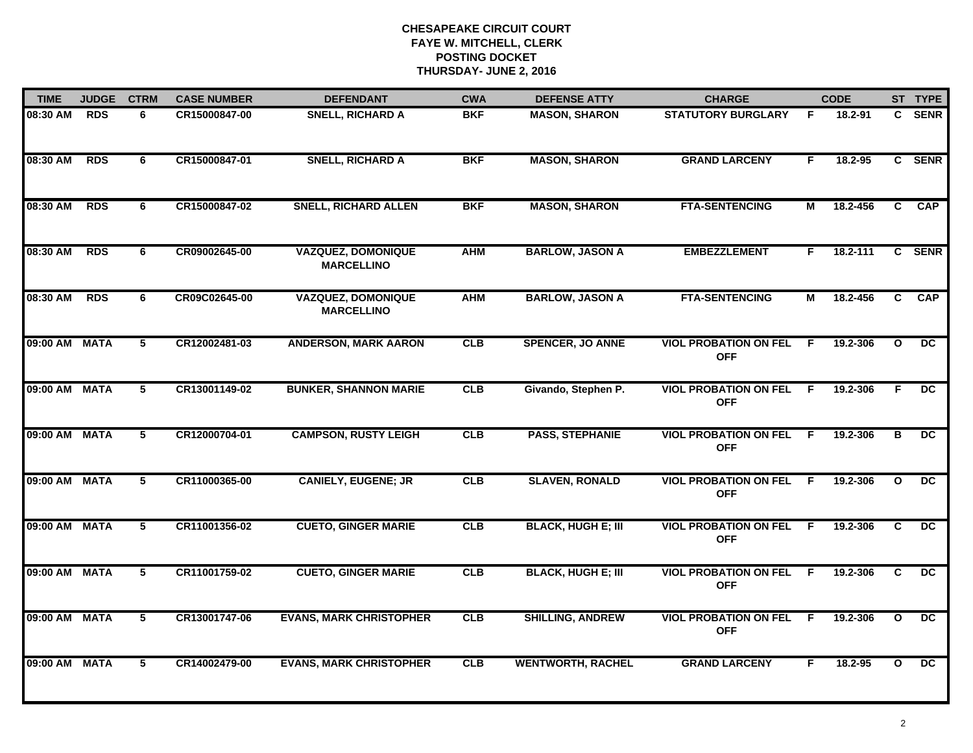| <b>TIME</b>   | <b>JUDGE</b> | <b>CTRM</b>    | <b>CASE NUMBER</b> | <b>DEFENDANT</b>                               | <b>CWA</b> | <b>DEFENSE ATTY</b>       | <b>CHARGE</b>                                |     | <b>CODE</b> |                         | ST TYPE         |
|---------------|--------------|----------------|--------------------|------------------------------------------------|------------|---------------------------|----------------------------------------------|-----|-------------|-------------------------|-----------------|
| 08:30 AM      | <b>RDS</b>   | 6              | CR15000847-00      | <b>SNELL, RICHARD A</b>                        | <b>BKF</b> | <b>MASON, SHARON</b>      | <b>STATUTORY BURGLARY</b>                    | F   | 18.2-91     |                         | C SENR          |
| 08:30 AM      | <b>RDS</b>   | 6              | CR15000847-01      | <b>SNELL, RICHARD A</b>                        | <b>BKF</b> | <b>MASON, SHARON</b>      | <b>GRAND LARCENY</b>                         | F   | 18.2-95     |                         | C SENR          |
| 08:30 AM      | <b>RDS</b>   | 6              | CR15000847-02      | <b>SNELL, RICHARD ALLEN</b>                    | <b>BKF</b> | <b>MASON, SHARON</b>      | <b>FTA-SENTENCING</b>                        | М   | 18.2-456    | $\overline{c}$          | <b>CAP</b>      |
| 08:30 AM      | <b>RDS</b>   | 6              | CR09002645-00      | <b>VAZQUEZ, DOMONIQUE</b><br><b>MARCELLINO</b> | <b>AHM</b> | <b>BARLOW, JASON A</b>    | <b>EMBEZZLEMENT</b>                          | F.  | 18.2-111    |                         | C SENR          |
| 08:30 AM      | <b>RDS</b>   | 6              | CR09C02645-00      | <b>VAZQUEZ, DOMONIQUE</b><br><b>MARCELLINO</b> | <b>AHM</b> | <b>BARLOW, JASON A</b>    | <b>FTA-SENTENCING</b>                        | М   | 18.2-456    | C                       | <b>CAP</b>      |
| 09:00 AM MATA |              | 5              | CR12002481-03      | <b>ANDERSON, MARK AARON</b>                    | CLB        | <b>SPENCER, JO ANNE</b>   | <b>VIOL PROBATION ON FEL</b><br><b>OFF</b>   | - F | 19.2-306    | $\mathbf{o}$            | DC.             |
| 09:00 AM MATA |              | $\overline{5}$ | CR13001149-02      | <b>BUNKER, SHANNON MARIE</b>                   | CLB        | Givando, Stephen P.       | <b>VIOL PROBATION ON FEL</b><br><b>OFF</b>   | - F | 19.2-306    | E                       | $\overline{DC}$ |
| 09:00 AM      | <b>MATA</b>  | $\overline{5}$ | CR12000704-01      | <b>CAMPSON, RUSTY LEIGH</b>                    | CLB        | <b>PASS, STEPHANIE</b>    | <b>VIOL PROBATION ON FEL</b><br><b>OFF</b>   | F.  | 19.2-306    | $\overline{\mathbf{B}}$ | DC              |
| 09:00 AM MATA |              | 5              | CR11000365-00      | <b>CANIELY, EUGENE; JR</b>                     | CLB        | <b>SLAVEN, RONALD</b>     | <b>VIOL PROBATION ON FEL</b><br><b>OFF</b>   | -F  | 19.2-306    | $\mathbf{o}$            | DC.             |
| 09:00 AM MATA |              | 5              | CR11001356-02      | <b>CUETO, GINGER MARIE</b>                     | CLB        | <b>BLACK, HUGH E; III</b> | <b>VIOL PROBATION ON FEL</b><br><b>OFF</b>   | - F | 19.2-306    | C                       | <b>DC</b>       |
| 09:00 AM MATA |              | 5              | CR11001759-02      | <b>CUETO, GINGER MARIE</b>                     | <b>CLB</b> | <b>BLACK, HUGH E; III</b> | <b>VIOL PROBATION ON FEL F</b><br><b>OFF</b> |     | 19.2-306    | C.                      | DC.             |
| 09:00 AM MATA |              | 5              | CR13001747-06      | <b>EVANS, MARK CHRISTOPHER</b>                 | CLB        | <b>SHILLING, ANDREW</b>   | <b>VIOL PROBATION ON FEL</b><br><b>OFF</b>   | - F | 19.2-306    | $\mathbf{o}$            | $\overline{DC}$ |
| 09:00 AM      | <b>MATA</b>  | $\overline{5}$ | CR14002479-00      | <b>EVANS, MARK CHRISTOPHER</b>                 | CLB        | <b>WENTWORTH, RACHEL</b>  | <b>GRAND LARCENY</b>                         | F.  | 18.2-95     | $\mathbf{o}$            | $\overline{DC}$ |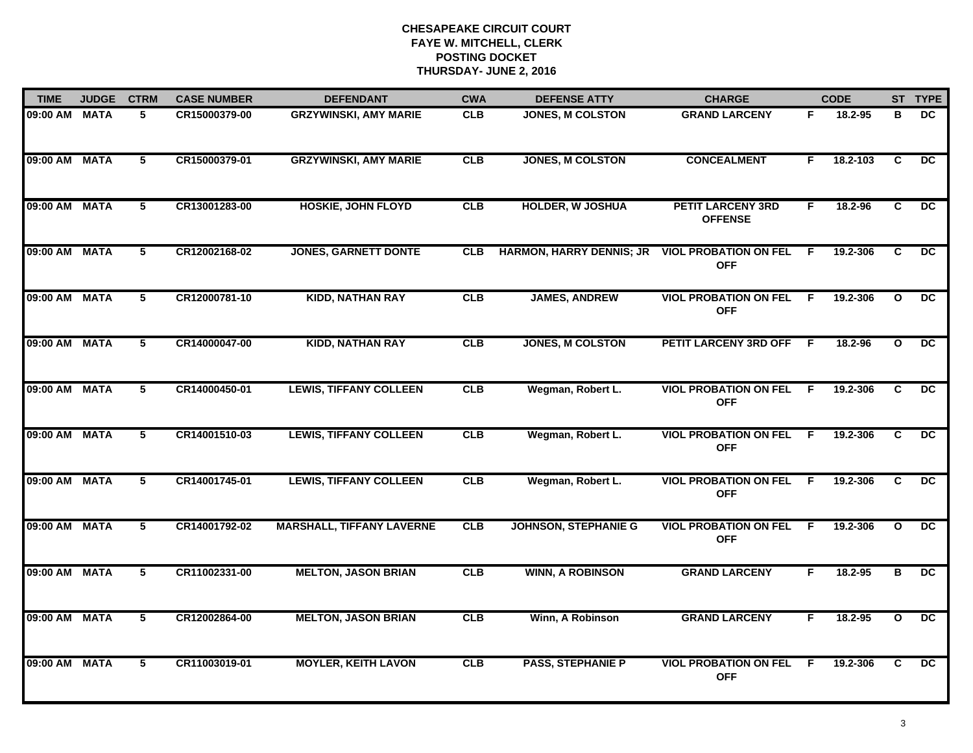| <b>TIME</b>   | <b>JUDGE</b> | <b>CTRM</b>     | <b>CASE NUMBER</b> | <b>DEFENDANT</b>                 | <b>CWA</b> | <b>DEFENSE ATTY</b>             | <b>CHARGE</b>                              |     | <b>CODE</b> |                | ST TYPE         |
|---------------|--------------|-----------------|--------------------|----------------------------------|------------|---------------------------------|--------------------------------------------|-----|-------------|----------------|-----------------|
| 09:00 AM      | <b>MATA</b>  | 5               | CR15000379-00      | <b>GRZYWINSKI, AMY MARIE</b>     | <b>CLB</b> | <b>JONES, M COLSTON</b>         | <b>GRAND LARCENY</b>                       | F.  | 18.2-95     | в              | DC.             |
| 09:00 AM MATA |              | $5^{\circ}$     | CR15000379-01      | <b>GRZYWINSKI, AMY MARIE</b>     | CLB        | <b>JONES, M COLSTON</b>         | <b>CONCEALMENT</b>                         | F.  | 18.2-103    | C              | DC.             |
| 09:00 AM      | <b>MATA</b>  | $\overline{5}$  | CR13001283-00      | <b>HOSKIE, JOHN FLOYD</b>        | CLB        | <b>HOLDER, W JOSHUA</b>         | <b>PETIT LARCENY 3RD</b><br><b>OFFENSE</b> | F   | 18.2-96     | $\overline{c}$ | DC              |
| 09:00 AM      | <b>MATA</b>  | 5               | CR12002168-02      | <b>JONES, GARNETT DONTE</b>      | <b>CLB</b> | <b>HARMON, HARRY DENNIS; JR</b> | <b>VIOL PROBATION ON FEL</b><br><b>OFF</b> | F.  | 19.2-306    | C              | DC.             |
| 09:00 AM      | <b>MATA</b>  | 5               | CR12000781-10      | <b>KIDD, NATHAN RAY</b>          | CLB        | <b>JAMES, ANDREW</b>            | <b>VIOL PROBATION ON FEL</b><br><b>OFF</b> | E   | 19.2-306    | $\mathbf{o}$   | <b>DC</b>       |
| 09:00 AM MATA |              | 5               | CR14000047-00      | <b>KIDD, NATHAN RAY</b>          | CLB        | <b>JONES, M COLSTON</b>         | PETIT LARCENY 3RD OFF F                    |     | 18.2-96     | O              | $\overline{DC}$ |
| 09:00 AM      | <b>MATA</b>  | $\overline{5}$  | CR14000450-01      | <b>LEWIS, TIFFANY COLLEEN</b>    | CLB        | Wegman, Robert L.               | <b>VIOL PROBATION ON FEL</b><br><b>OFF</b> | F.  | 19.2-306    | C              | $\overline{DC}$ |
| 09:00 AM MATA |              | $\overline{5}$  | CR14001510-03      | <b>LEWIS, TIFFANY COLLEEN</b>    | CLB        | Wegman, Robert L.               | <b>VIOL PROBATION ON FEL</b><br><b>OFF</b> | -F. | 19.2-306    | C              | DC              |
| 09:00 AM      | <b>MATA</b>  | 5               | CR14001745-01      | <b>LEWIS, TIFFANY COLLEEN</b>    | CLB        | Wegman, Robert L.               | <b>VIOL PROBATION ON FEL</b><br><b>OFF</b> | -F  | 19.2-306    | C              | DC              |
| 09:00 AM      | <b>MATA</b>  | 5               | CR14001792-02      | <b>MARSHALL, TIFFANY LAVERNE</b> | CLB        | <b>JOHNSON, STEPHANIE G</b>     | <b>VIOL PROBATION ON FEL</b><br><b>OFF</b> | -F  | 19.2-306    | $\mathbf{o}$   | DC              |
| 09:00 AM      | <b>MATA</b>  | $5\phantom{.0}$ | CR11002331-00      | <b>MELTON, JASON BRIAN</b>       | CLB        | <b>WINN, A ROBINSON</b>         | <b>GRAND LARCENY</b>                       | F.  | 18.2-95     | в              | DC.             |
| 09:00 AM      | <b>MATA</b>  | 5               | CR12002864-00      | <b>MELTON, JASON BRIAN</b>       | CLB        | Winn, A Robinson                | <b>GRAND LARCENY</b>                       | F.  | $18.2 - 95$ | $\mathbf{o}$   | DC              |
| 09:00 AM MATA |              | 5               | CR11003019-01      | <b>MOYLER, KEITH LAVON</b>       | CLB        | <b>PASS, STEPHANIE P</b>        | <b>VIOL PROBATION ON FEL</b><br><b>OFF</b> | F.  | 19.2-306    | C              | DC.             |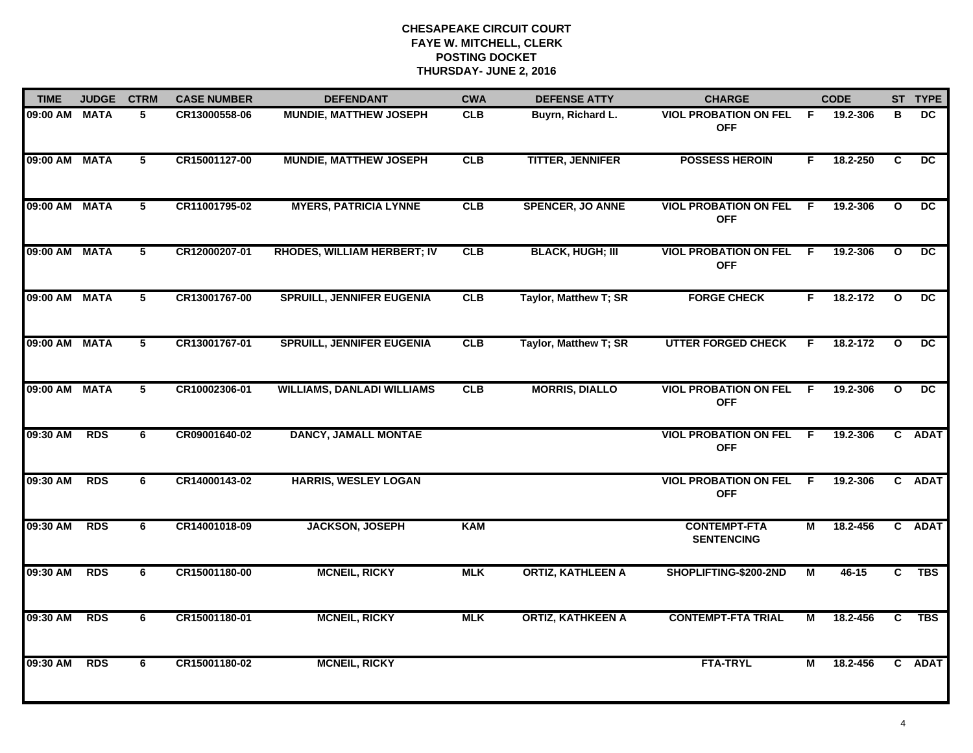| <b>TIME</b>   | <b>JUDGE</b> | <b>CTRM</b>    | <b>CASE NUMBER</b> | <b>DEFENDANT</b>                   | <b>CWA</b> | <b>DEFENSE ATTY</b>      | <b>CHARGE</b>                              |                | <b>CODE</b> |                         | ST TYPE         |
|---------------|--------------|----------------|--------------------|------------------------------------|------------|--------------------------|--------------------------------------------|----------------|-------------|-------------------------|-----------------|
| 09:00 AM MATA |              | 5              | CR13000558-06      | <b>MUNDIE, MATTHEW JOSEPH</b>      | <b>CLB</b> | Buyrn, Richard L.        | <b>VIOL PROBATION ON FEL</b><br><b>OFF</b> | -F.            | 19.2-306    | в                       | DC.             |
| 09:00 AM MATA |              | $5^{\circ}$    | CR15001127-00      | <b>MUNDIE, MATTHEW JOSEPH</b>      | CLB        | <b>TITTER, JENNIFER</b>  | <b>POSSESS HEROIN</b>                      | F.             | 18.2-250    | C                       | DC.             |
| 09:00 AM MATA |              | 5              | CR11001795-02      | <b>MYERS, PATRICIA LYNNE</b>       | CLB        | <b>SPENCER, JO ANNE</b>  | <b>VIOL PROBATION ON FEL</b><br><b>OFF</b> | F.             | 19.2-306    | $\mathbf{o}$            | $\overline{DC}$ |
| 09:00 AM MATA |              | 5              | CR12000207-01      | <b>RHODES, WILLIAM HERBERT; IV</b> | <b>CLB</b> | <b>BLACK, HUGH; III</b>  | <b>VIOL PROBATION ON FEL</b><br><b>OFF</b> | F.             | 19.2-306    | $\mathbf{o}$            | DC.             |
| 09:00 AM MATA |              | 5              | CR13001767-00      | <b>SPRUILL, JENNIFER EUGENIA</b>   | CLB        | Taylor, Matthew T; SR    | <b>FORGE CHECK</b>                         | F.             | 18.2-172    | $\mathbf{o}$            | DC.             |
| 09:00 AM MATA |              | 5              | CR13001767-01      | <b>SPRUILL, JENNIFER EUGENIA</b>   | CLB        | Taylor, Matthew T; SR    | <b>UTTER FORGED CHECK</b>                  | F.             | 18.2-172    | $\mathbf{o}$            | $\overline{DC}$ |
| 09:00 AM MATA |              | $\overline{5}$ | CR10002306-01      | <b>WILLIAMS, DANLADI WILLIAMS</b>  | CLB        | <b>MORRIS, DIALLO</b>    | <b>VIOL PROBATION ON FEL</b><br><b>OFF</b> | $\overline{F}$ | 19.2-306    | $\overline{\mathbf{o}}$ | $\overline{DC}$ |
| 09:30 AM      | <b>RDS</b>   | 6              | CR09001640-02      | <b>DANCY, JAMALL MONTAE</b>        |            |                          | <b>VIOL PROBATION ON FEL</b><br><b>OFF</b> | F.             | 19.2-306    |                         | C ADAT          |
| 09:30 AM      | <b>RDS</b>   | 6              | CR14000143-02      | <b>HARRIS, WESLEY LOGAN</b>        |            |                          | <b>VIOL PROBATION ON FEL</b><br><b>OFF</b> | - F            | 19.2-306    |                         | C ADAT          |
| 09:30 AM      | <b>RDS</b>   | 6              | CR14001018-09      | <b>JACKSON, JOSEPH</b>             | <b>KAM</b> |                          | <b>CONTEMPT-FTA</b><br><b>SENTENCING</b>   | М              | 18.2-456    |                         | C ADAT          |
| 09:30 AM      | <b>RDS</b>   | 6              | CR15001180-00      | <b>MCNEIL, RICKY</b>               | <b>MLK</b> | <b>ORTIZ, KATHLEEN A</b> | SHOPLIFTING-\$200-2ND                      | М              | $46 - 15$   | C                       | <b>TBS</b>      |
| 09:30 AM      | <b>RDS</b>   | 6              | CR15001180-01      | <b>MCNEIL, RICKY</b>               | <b>MLK</b> | <b>ORTIZ, KATHKEEN A</b> | <b>CONTEMPT-FTA TRIAL</b>                  | М              | 18.2-456    | $\overline{c}$          | <b>TBS</b>      |
| 09:30 AM      | <b>RDS</b>   | 6              | CR15001180-02      | <b>MCNEIL, RICKY</b>               |            |                          | <b>FTA-TRYL</b>                            | М              | 18.2-456    |                         | C ADAT          |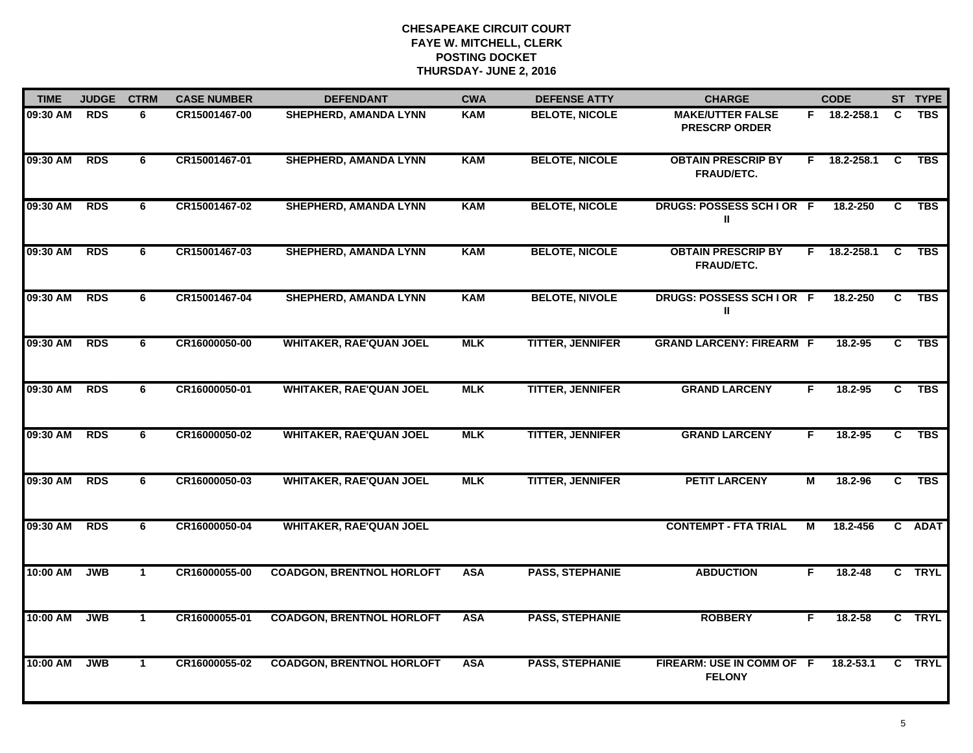| <b>TIME</b> | <b>JUDGE</b> | <b>CTRM</b>  | <b>CASE NUMBER</b> | <b>DEFENDANT</b>                 | <b>CWA</b> | <b>DEFENSE ATTY</b>     | <b>CHARGE</b>                                   |    | <b>CODE</b>  |                | ST TYPE    |
|-------------|--------------|--------------|--------------------|----------------------------------|------------|-------------------------|-------------------------------------------------|----|--------------|----------------|------------|
| 09:30 AM    | <b>RDS</b>   | 6            | CR15001467-00      | SHEPHERD, AMANDA LYNN            | <b>KAM</b> | <b>BELOTE, NICOLE</b>   | <b>MAKE/UTTER FALSE</b><br><b>PRESCRP ORDER</b> |    | F 18.2-258.1 | C              | <b>TBS</b> |
| 09:30 AM    | <b>RDS</b>   | 6            | CR15001467-01      | <b>SHEPHERD, AMANDA LYNN</b>     | <b>KAM</b> | <b>BELOTE, NICOLE</b>   | <b>OBTAIN PRESCRIP BY</b><br><b>FRAUD/ETC.</b>  | F. | 18.2-258.1   | C              | <b>TBS</b> |
| 09:30 AM    | <b>RDS</b>   | 6            | CR15001467-02      | <b>SHEPHERD, AMANDA LYNN</b>     | <b>KAM</b> | <b>BELOTE, NICOLE</b>   | DRUGS: POSSESS SCHIOR F<br>Ш                    |    | 18.2-250     | C              | <b>TBS</b> |
| 09:30 AM    | <b>RDS</b>   | 6            | CR15001467-03      | <b>SHEPHERD, AMANDA LYNN</b>     | <b>KAM</b> | <b>BELOTE, NICOLE</b>   | <b>OBTAIN PRESCRIP BY</b><br>FRAUD/ETC.         | F. | 18.2-258.1   | C.             | <b>TBS</b> |
| 09:30 AM    | <b>RDS</b>   | 6            | CR15001467-04      | <b>SHEPHERD, AMANDA LYNN</b>     | <b>KAM</b> | <b>BELOTE, NIVOLE</b>   | DRUGS: POSSESS SCHIOR F<br>Ш                    |    | 18.2-250     | C              | <b>TBS</b> |
| 09:30 AM    | <b>RDS</b>   | 6            | CR16000050-00      | <b>WHITAKER, RAE'QUAN JOEL</b>   | <b>MLK</b> | <b>TITTER, JENNIFER</b> | <b>GRAND LARCENY: FIREARM F</b>                 |    | 18.2-95      | C.             | <b>TBS</b> |
| 09:30 AM    | <b>RDS</b>   | 6            | CR16000050-01      | <b>WHITAKER, RAE'QUAN JOEL</b>   | <b>MLK</b> | <b>TITTER, JENNIFER</b> | <b>GRAND LARCENY</b>                            | F. | 18.2-95      | $\overline{c}$ | <b>TBS</b> |
| 09:30 AM    | <b>RDS</b>   | 6            | CR16000050-02      | <b>WHITAKER, RAE'QUAN JOEL</b>   | <b>MLK</b> | <b>TITTER, JENNIFER</b> | <b>GRAND LARCENY</b>                            | F. | 18.2-95      | $\overline{c}$ | <b>TBS</b> |
| 09:30 AM    | <b>RDS</b>   | 6            | CR16000050-03      | <b>WHITAKER, RAE'QUAN JOEL</b>   | <b>MLK</b> | <b>TITTER, JENNIFER</b> | <b>PETIT LARCENY</b>                            | M  | 18.2-96      | C              | <b>TBS</b> |
| 09:30 AM    | <b>RDS</b>   | 6            | CR16000050-04      | <b>WHITAKER, RAE'QUAN JOEL</b>   |            |                         | <b>CONTEMPT - FTA TRIAL</b>                     | М  | 18.2-456     |                | C ADAT     |
| 10:00 AM    | <b>JWB</b>   | $\mathbf{1}$ | CR16000055-00      | <b>COADGON, BRENTNOL HORLOFT</b> | <b>ASA</b> | <b>PASS, STEPHANIE</b>  | <b>ABDUCTION</b>                                | F. | $18.2 - 48$  |                | C TRYL     |
| 10:00 AM    | <b>JWB</b>   | $\mathbf{1}$ | CR16000055-01      | <b>COADGON, BRENTNOL HORLOFT</b> | <b>ASA</b> | <b>PASS, STEPHANIE</b>  | <b>ROBBERY</b>                                  | F. | 18.2-58      |                | C TRYL     |
| 10:00 AM    | <b>JWB</b>   | $\mathbf{1}$ | CR16000055-02      | <b>COADGON, BRENTNOL HORLOFT</b> | <b>ASA</b> | <b>PASS, STEPHANIE</b>  | FIREARM: USE IN COMM OF F<br><b>FELONY</b>      |    | 18.2-53.1    |                | C TRYL     |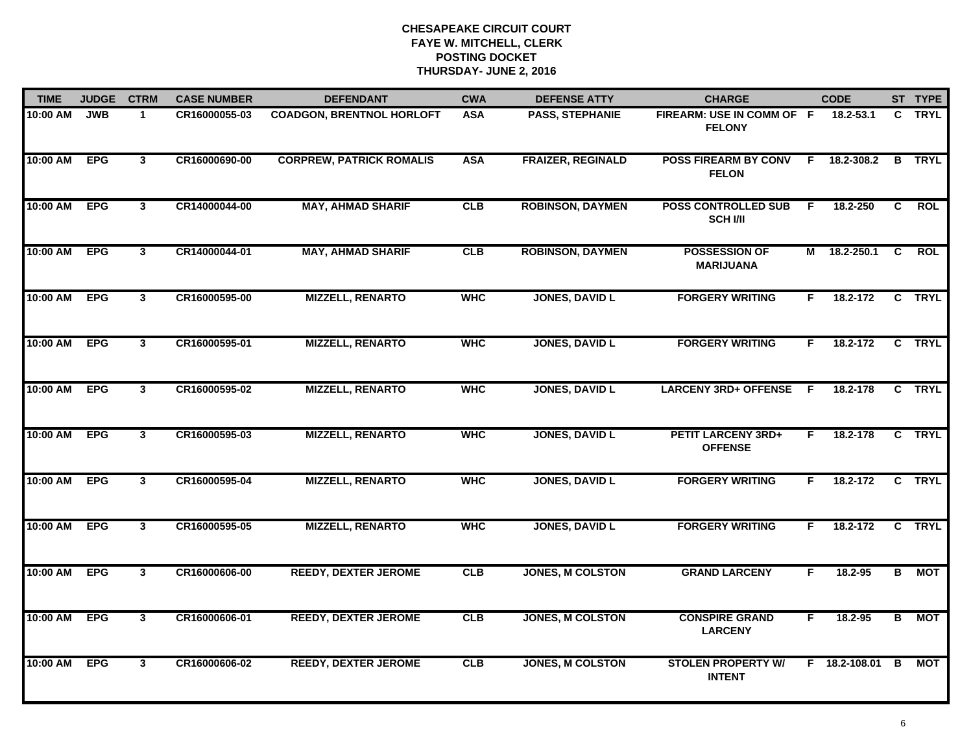| <b>TIME</b> | <b>JUDGE</b> | <b>CTRM</b>             | <b>CASE NUMBER</b> | <b>DEFENDANT</b>                 | <b>CWA</b> | <b>DEFENSE ATTY</b>      | <b>CHARGE</b>                                 |    | <b>CODE</b>     |                | ST TYPE      |
|-------------|--------------|-------------------------|--------------------|----------------------------------|------------|--------------------------|-----------------------------------------------|----|-----------------|----------------|--------------|
| 10:00 AM    | <b>JWB</b>   | $\mathbf{1}$            | CR16000055-03      | <b>COADGON, BRENTNOL HORLOFT</b> | <b>ASA</b> | <b>PASS, STEPHANIE</b>   | FIREARM: USE IN COMM OF F<br><b>FELONY</b>    |    | 18.2-53.1       |                | C TRYL       |
| 10:00 AM    | <b>EPG</b>   | $\overline{\mathbf{3}}$ | CR16000690-00      | <b>CORPREW, PATRICK ROMALIS</b>  | <b>ASA</b> | <b>FRAIZER, REGINALD</b> | <b>POSS FIREARM BY CONV</b><br><b>FELON</b>   | E  | 18.2-308.2      | B              | <b>TRYL</b>  |
| 10:00 AM    | <b>EPG</b>   | 3                       | CR14000044-00      | <b>MAY, AHMAD SHARIF</b>         | CLB        | <b>ROBINSON, DAYMEN</b>  | <b>POSS CONTROLLED SUB</b><br><b>SCH I/II</b> | F  | 18.2-250        | $\overline{c}$ | <b>ROL</b>   |
| 10:00 AM    | <b>EPG</b>   | $\mathbf{3}$            | CR14000044-01      | <b>MAY, AHMAD SHARIF</b>         | CLB        | <b>ROBINSON, DAYMEN</b>  | <b>POSSESSION OF</b><br><b>MARIJUANA</b>      | M  | 18.2-250.1      | C              | <b>ROL</b>   |
| 10:00 AM    | <b>EPG</b>   | $\mathbf{3}$            | CR16000595-00      | <b>MIZZELL, RENARTO</b>          | <b>WHC</b> | <b>JONES, DAVID L</b>    | <b>FORGERY WRITING</b>                        | F. | 18.2-172        |                | C TRYL       |
| 10:00 AM    | <b>EPG</b>   | $\mathbf{3}$            | CR16000595-01      | <b>MIZZELL, RENARTO</b>          | <b>WHC</b> | <b>JONES, DAVID L</b>    | <b>FORGERY WRITING</b>                        | F. | 18.2-172        |                | C TRYL       |
| 10:00 AM    | <b>EPG</b>   | $\mathbf{3}$            | CR16000595-02      | <b>MIZZELL, RENARTO</b>          | <b>WHC</b> | <b>JONES, DAVID L</b>    | LARCENY 3RD+ OFFENSE F                        |    | 18.2-178        | $\mathbf{c}$   | <b>TRYL</b>  |
| 10:00 AM    | <b>EPG</b>   | $\overline{\mathbf{3}}$ | CR16000595-03      | <b>MIZZELL, RENARTO</b>          | <b>WHC</b> | <b>JONES, DAVID L</b>    | <b>PETIT LARCENY 3RD+</b><br><b>OFFENSE</b>   | F  | 18.2-178        |                | C TRYL       |
| 10:00 AM    | <b>EPG</b>   | $\mathbf{3}$            | CR16000595-04      | <b>MIZZELL, RENARTO</b>          | <b>WHC</b> | <b>JONES, DAVID L</b>    | <b>FORGERY WRITING</b>                        | F  | 18.2-172        |                | C TRYL       |
| 10:00 AM    | <b>EPG</b>   | $\mathbf{3}$            | CR16000595-05      | <b>MIZZELL, RENARTO</b>          | <b>WHC</b> | <b>JONES, DAVID L</b>    | <b>FORGERY WRITING</b>                        | F. | 18.2-172        |                | C TRYL       |
| 10:00 AM    | <b>EPG</b>   | $\mathbf{3}$            | CR16000606-00      | <b>REEDY, DEXTER JEROME</b>      | <b>CLB</b> | <b>JONES, M COLSTON</b>  | <b>GRAND LARCENY</b>                          | F. | 18.2-95         |                | <b>B</b> MOT |
| 10:00 AM    | <b>EPG</b>   | 3                       | CR16000606-01      | <b>REEDY, DEXTER JEROME</b>      | CLB        | <b>JONES, M COLSTON</b>  | <b>CONSPIRE GRAND</b><br><b>LARCENY</b>       | F. | $18.2 - 95$     | В              | <b>MOT</b>   |
| 10:00 AM    | <b>EPG</b>   | 3                       | CR16000606-02      | <b>REEDY, DEXTER JEROME</b>      | CLB        | <b>JONES, M COLSTON</b>  | <b>STOLEN PROPERTY W/</b><br><b>INTENT</b>    |    | F 18.2-108.01 B |                | <b>MOT</b>   |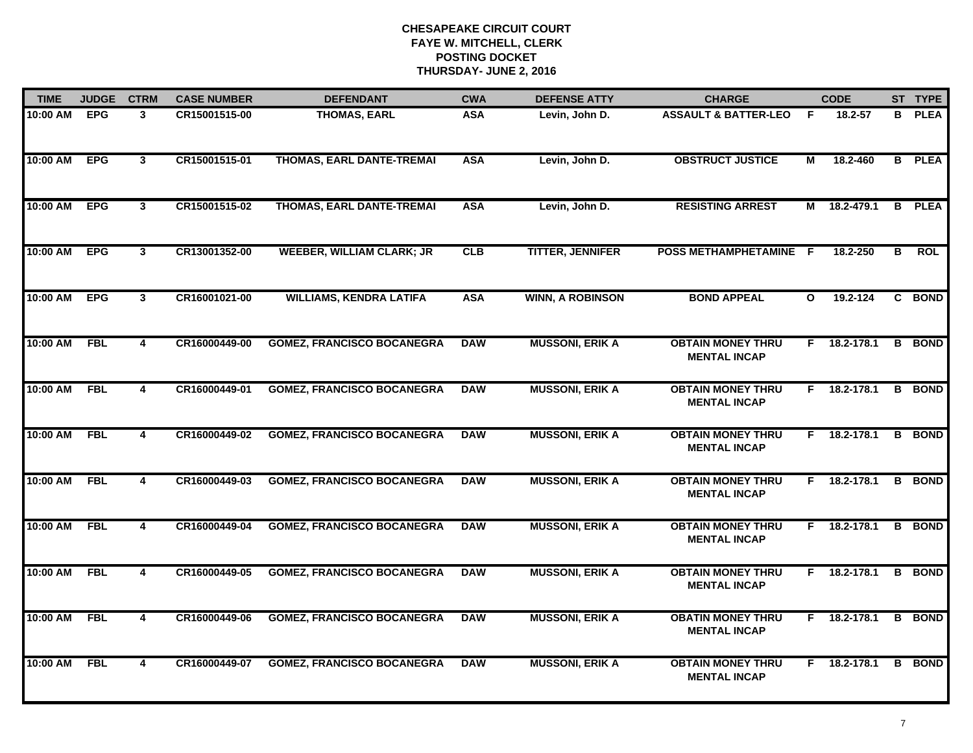| <b>TIME</b> | <b>JUDGE</b> | <b>CTRM</b>  | <b>CASE NUMBER</b> | <b>DEFENDANT</b>                  | <b>CWA</b> | <b>DEFENSE ATTY</b>     | <b>CHARGE</b>                                   |              | <b>CODE</b>    |   | ST TYPE       |
|-------------|--------------|--------------|--------------------|-----------------------------------|------------|-------------------------|-------------------------------------------------|--------------|----------------|---|---------------|
| 10:00 AM    | <b>EPG</b>   | $\mathbf{3}$ | CR15001515-00      | <b>THOMAS, EARL</b>               | <b>ASA</b> | Levin, John D.          | <b>ASSAULT &amp; BATTER-LEO</b>                 | F.           | 18.2-57        |   | <b>B</b> PLEA |
| 10:00 AM    | <b>EPG</b>   | $\mathbf{3}$ | CR15001515-01      | THOMAS, EARL DANTE-TREMAI         | <b>ASA</b> | Levin, John D.          | <b>OBSTRUCT JUSTICE</b>                         | М            | 18.2-460       |   | <b>B</b> PLEA |
| 10:00 AM    | <b>EPG</b>   | 3            | CR15001515-02      | THOMAS, EARL DANTE-TREMAI         | <b>ASA</b> | Levin, John D.          | <b>RESISTING ARREST</b>                         | М            | 18.2-479.1     |   | <b>B</b> PLEA |
| 10:00 AM    | <b>EPG</b>   | 3            | CR13001352-00      | <b>WEEBER, WILLIAM CLARK; JR</b>  | CLB        | <b>TITTER, JENNIFER</b> | <b>POSS METHAMPHETAMINE</b>                     | - F          | 18.2-250       | в | <b>ROL</b>    |
| 10:00 AM    | <b>EPG</b>   | $\mathbf{3}$ | CR16001021-00      | <b>WILLIAMS, KENDRA LATIFA</b>    | <b>ASA</b> | <b>WINN, A ROBINSON</b> | <b>BOND APPEAL</b>                              | $\mathbf{o}$ | 19.2-124       |   | C BOND        |
| 10:00 AM    | <b>FBL</b>   | 4            | CR16000449-00      | <b>GOMEZ, FRANCISCO BOCANEGRA</b> | <b>DAW</b> | <b>MUSSONI, ERIK A</b>  | <b>OBTAIN MONEY THRU</b><br><b>MENTAL INCAP</b> |              | $F$ 18.2-178.1 |   | <b>B</b> BOND |
| 10:00 AM    | <b>FBL</b>   | 4            | CR16000449-01      | <b>GOMEZ, FRANCISCO BOCANEGRA</b> | <b>DAW</b> | <b>MUSSONI, ERIK A</b>  | <b>OBTAIN MONEY THRU</b><br><b>MENTAL INCAP</b> | F.           | 18.2-178.1     |   | <b>B</b> BOND |
| 10:00 AM    | <b>FBL</b>   | 4            | CR16000449-02      | <b>GOMEZ, FRANCISCO BOCANEGRA</b> | <b>DAW</b> | <b>MUSSONI, ERIK A</b>  | <b>OBTAIN MONEY THRU</b><br><b>MENTAL INCAP</b> | F.           | 18.2-178.1     |   | <b>B</b> BOND |
| 10:00 AM    | <b>FBL</b>   | 4            | CR16000449-03      | <b>GOMEZ, FRANCISCO BOCANEGRA</b> | <b>DAW</b> | <b>MUSSONI, ERIK A</b>  | <b>OBTAIN MONEY THRU</b><br><b>MENTAL INCAP</b> | F.           | 18.2-178.1     |   | <b>B</b> BOND |
| 10:00 AM    | <b>FBL</b>   | 4            | CR16000449-04      | <b>GOMEZ, FRANCISCO BOCANEGRA</b> | <b>DAW</b> | <b>MUSSONI, ERIK A</b>  | <b>OBTAIN MONEY THRU</b><br><b>MENTAL INCAP</b> |              | F 18.2-178.1   |   | <b>B</b> BOND |
| 10:00 AM    | <b>FBL</b>   | 4            | CR16000449-05      | <b>GOMEZ, FRANCISCO BOCANEGRA</b> | <b>DAW</b> | <b>MUSSONI, ERIK A</b>  | <b>OBTAIN MONEY THRU</b><br><b>MENTAL INCAP</b> |              | $F$ 18.2-178.1 |   | <b>B</b> BOND |
| 10:00 AM    | <b>FBL</b>   | 4            | CR16000449-06      | <b>GOMEZ, FRANCISCO BOCANEGRA</b> | <b>DAW</b> | <b>MUSSONI, ERIK A</b>  | <b>OBATIN MONEY THRU</b><br><b>MENTAL INCAP</b> |              | F 18.2-178.1   |   | <b>B</b> BOND |
| 10:00 AM    | <b>FBL</b>   | 4            | CR16000449-07      | <b>GOMEZ, FRANCISCO BOCANEGRA</b> | <b>DAW</b> | <b>MUSSONI, ERIK A</b>  | <b>OBTAIN MONEY THRU</b><br><b>MENTAL INCAP</b> |              | $F$ 18.2-178.1 |   | <b>B</b> BOND |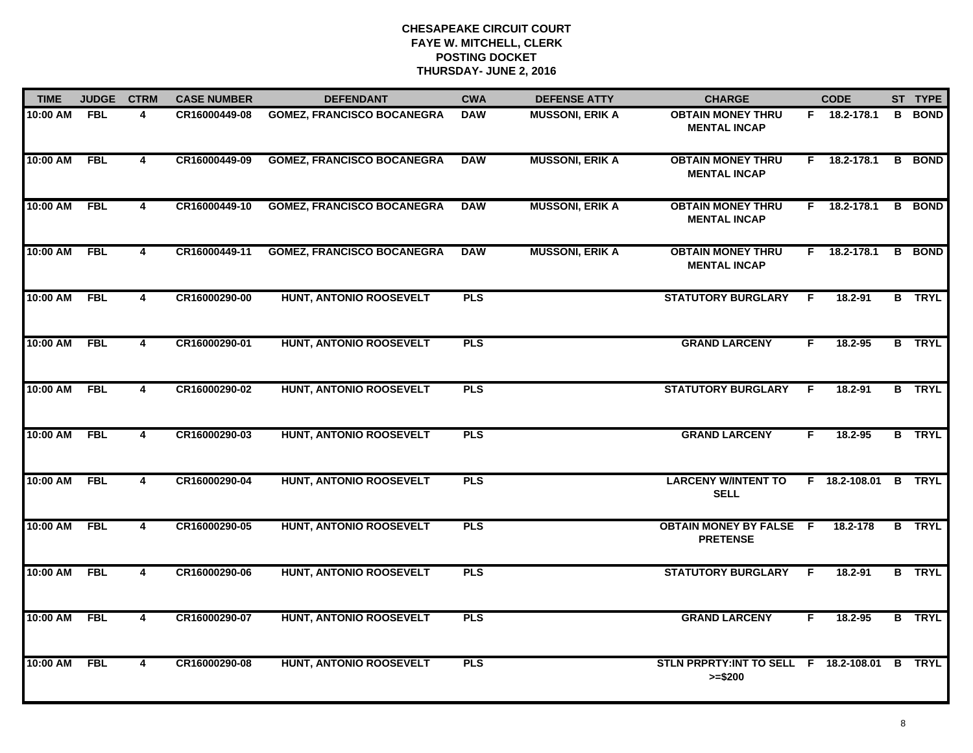| <b>TIME</b>  | <b>JUDGE</b> | <b>CTRM</b>             | <b>CASE NUMBER</b> | <b>DEFENDANT</b>                  | <b>CWA</b> | <b>DEFENSE ATTY</b>    | <b>CHARGE</b>                                             |    | <b>CODE</b>          |    | ST TYPE       |
|--------------|--------------|-------------------------|--------------------|-----------------------------------|------------|------------------------|-----------------------------------------------------------|----|----------------------|----|---------------|
| 10:00 AM     | FBL          | 4                       | CR16000449-08      | <b>GOMEZ, FRANCISCO BOCANEGRA</b> | <b>DAW</b> | <b>MUSSONI, ERIK A</b> | <b>OBTAIN MONEY THRU</b><br><b>MENTAL INCAP</b>           |    | F 18.2-178.1         | B. | <b>BOND</b>   |
| 10:00 AM     | <b>FBL</b>   | 4                       | CR16000449-09      | <b>GOMEZ, FRANCISCO BOCANEGRA</b> | <b>DAW</b> | <b>MUSSONI, ERIK A</b> | <b>OBTAIN MONEY THRU</b><br><b>MENTAL INCAP</b>           | F. | 18.2-178.1           | B  | <b>BOND</b>   |
| 10:00 AM     | <b>FBL</b>   | 4                       | CR16000449-10      | <b>GOMEZ, FRANCISCO BOCANEGRA</b> | <b>DAW</b> | <b>MUSSONI, ERIK A</b> | <b>OBTAIN MONEY THRU</b><br><b>MENTAL INCAP</b>           | F. | 18.2-178.1           |    | <b>B</b> BOND |
| 10:00 AM     | <b>FBL</b>   | 4                       | CR16000449-11      | <b>GOMEZ, FRANCISCO BOCANEGRA</b> | <b>DAW</b> | <b>MUSSONI, ERIK A</b> | <b>OBTAIN MONEY THRU</b><br><b>MENTAL INCAP</b>           |    | F 18.2-178.1         |    | <b>B</b> BOND |
| 10:00 AM     | <b>FBL</b>   | 4                       | CR16000290-00      | HUNT, ANTONIO ROOSEVELT           | <b>PLS</b> |                        | <b>STATUTORY BURGLARY</b>                                 | F. | 18.2-91              |    | <b>B</b> TRYL |
| 10:00 AM FBL |              | 4                       | CR16000290-01      | HUNT, ANTONIO ROOSEVELT           | <b>PLS</b> |                        | <b>GRAND LARCENY</b>                                      | F. | 18.2-95              |    | <b>B</b> TRYL |
| 10:00 AM     | FBL          | $\overline{\mathbf{4}}$ | CR16000290-02      | <b>HUNT, ANTONIO ROOSEVELT</b>    | <b>PLS</b> |                        | <b>STATUTORY BURGLARY</b>                                 | F. | 18.2-91              |    | <b>B</b> TRYL |
| 10:00 AM     | <b>FBL</b>   | 4                       | CR16000290-03      | <b>HUNT, ANTONIO ROOSEVELT</b>    | PLS        |                        | <b>GRAND LARCENY</b>                                      | F  | 18.2-95              |    | <b>B</b> TRYL |
| 10:00 AM     | <b>FBL</b>   | 4                       | CR16000290-04      | <b>HUNT, ANTONIO ROOSEVELT</b>    | <b>PLS</b> |                        | <b>LARCENY W/INTENT TO</b><br><b>SELL</b>                 |    | F 18.2-108.01 B TRYL |    |               |
| 10:00 AM     | <b>FBL</b>   | $\overline{\mathbf{4}}$ | CR16000290-05      | HUNT, ANTONIO ROOSEVELT           | <b>PLS</b> |                        | <b>OBTAIN MONEY BY FALSE F</b><br><b>PRETENSE</b>         |    | 18.2-178             |    | <b>B</b> TRYL |
| 10:00 AM     | FBL          | $\overline{4}$          | CR16000290-06      | HUNT, ANTONIO ROOSEVELT           | <b>PLS</b> |                        | <b>STATUTORY BURGLARY</b>                                 | F. | 18.2-91              |    | <b>B</b> TRYL |
| 10:00 AM     | <b>FBL</b>   | 4                       | CR16000290-07      | <b>HUNT, ANTONIO ROOSEVELT</b>    | <b>PLS</b> |                        | <b>GRAND LARCENY</b>                                      | F. | 18.2-95              |    | <b>B</b> TRYL |
| 10:00 AM     | <b>FBL</b>   | $\overline{\mathbf{4}}$ | CR16000290-08      | <b>HUNT, ANTONIO ROOSEVELT</b>    | <b>PLS</b> |                        | STLN PRPRTY:INT TO SELL F 18.2-108.01 B TRYL<br>$>= $200$ |    |                      |    |               |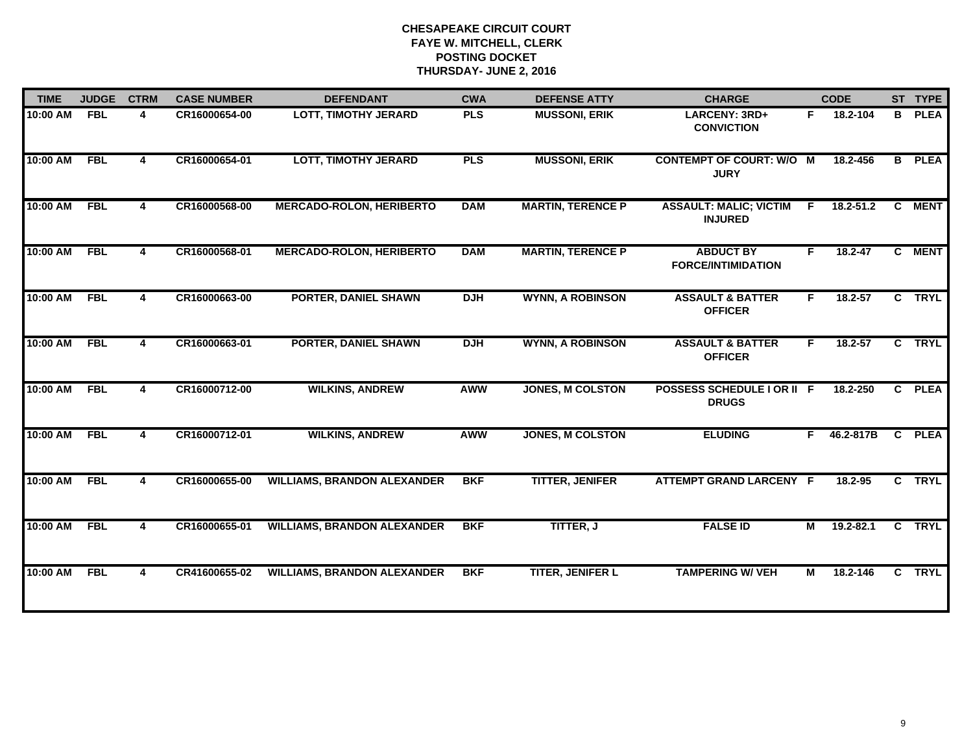| <b>TIME</b> | <b>JUDGE</b> | <b>CTRM</b> | <b>CASE NUMBER</b> | <b>DEFENDANT</b>                   | <b>CWA</b> | <b>DEFENSE ATTY</b>      | <b>CHARGE</b>                                   |    | <b>CODE</b>   |                | ST TYPE       |
|-------------|--------------|-------------|--------------------|------------------------------------|------------|--------------------------|-------------------------------------------------|----|---------------|----------------|---------------|
| 10:00 AM    | <b>FBL</b>   | 4           | CR16000654-00      | <b>LOTT, TIMOTHY JERARD</b>        | <b>PLS</b> | <b>MUSSONI, ERIK</b>     | LARCENY: 3RD+<br><b>CONVICTION</b>              | F. | 18.2-104      |                | <b>B</b> PLEA |
| 10:00 AM    | <b>FBL</b>   | 4           | CR16000654-01      | <b>LOTT, TIMOTHY JERARD</b>        | <b>PLS</b> | <b>MUSSONI, ERIK</b>     | <b>CONTEMPT OF COURT: W/O M</b><br><b>JURY</b>  |    | 18.2-456      |                | <b>B</b> PLEA |
| 10:00 AM    | <b>FBL</b>   | 4           | CR16000568-00      | <b>MERCADO-ROLON, HERIBERTO</b>    | <b>DAM</b> | <b>MARTIN, TERENCE P</b> | <b>ASSAULT: MALIC; VICTIM</b><br><b>INJURED</b> | F  | $18.2 - 51.2$ | $\overline{c}$ | <b>MENT</b>   |
| 10:00 AM    | <b>FBL</b>   | 4           | CR16000568-01      | <b>MERCADO-ROLON, HERIBERTO</b>    | <b>DAM</b> | <b>MARTIN, TERENCE P</b> | <b>ABDUCT BY</b><br><b>FORCE/INTIMIDATION</b>   | F. | $18.2 - 47$   |                | C MENT        |
| 10:00 AM    | <b>FBL</b>   | 4           | CR16000663-00      | <b>PORTER, DANIEL SHAWN</b>        | <b>DJH</b> | <b>WYNN, A ROBINSON</b>  | <b>ASSAULT &amp; BATTER</b><br><b>OFFICER</b>   | F. | $18.2 - 57$   |                | C TRYL        |
| 10:00 AM    | <b>FBL</b>   | 4           | CR16000663-01      | <b>PORTER, DANIEL SHAWN</b>        | <b>DJH</b> | <b>WYNN, A ROBINSON</b>  | <b>ASSAULT &amp; BATTER</b><br><b>OFFICER</b>   | F. | $18.2 - 57$   |                | C TRYL        |
| 10:00 AM    | <b>FBL</b>   | 4           | CR16000712-00      | <b>WILKINS, ANDREW</b>             | <b>AWW</b> | <b>JONES, M COLSTON</b>  | POSSESS SCHEDULE I OR II F<br><b>DRUGS</b>      |    | 18.2-250      | $\overline{c}$ | <b>PLEA</b>   |
| 10:00 AM    | <b>FBL</b>   | 4           | CR16000712-01      | <b>WILKINS, ANDREW</b>             | <b>AWW</b> | <b>JONES, M COLSTON</b>  | <b>ELUDING</b>                                  | F. | 46.2-817B     |                | C PLEA        |
| 10:00 AM    | <b>FBL</b>   | 4           | CR16000655-00      | <b>WILLIAMS, BRANDON ALEXANDER</b> | <b>BKF</b> | <b>TITTER, JENIFER</b>   | <b>ATTEMPT GRAND LARCENY F</b>                  |    | 18.2-95       |                | C TRYL        |
| 10:00 AM    | <b>FBL</b>   | 4           | CR16000655-01      | <b>WILLIAMS, BRANDON ALEXANDER</b> | <b>BKF</b> | <b>TITTER, J</b>         | <b>FALSE ID</b>                                 | М  | $19.2 - 82.1$ |                | C TRYL        |
| 10:00 AM    | <b>FBL</b>   | 4           | CR41600655-02      | <b>WILLIAMS, BRANDON ALEXANDER</b> | <b>BKF</b> | <b>TITER, JENIFER L</b>  | <b>TAMPERING W/ VEH</b>                         | М  | 18.2-146      |                | C TRYL        |